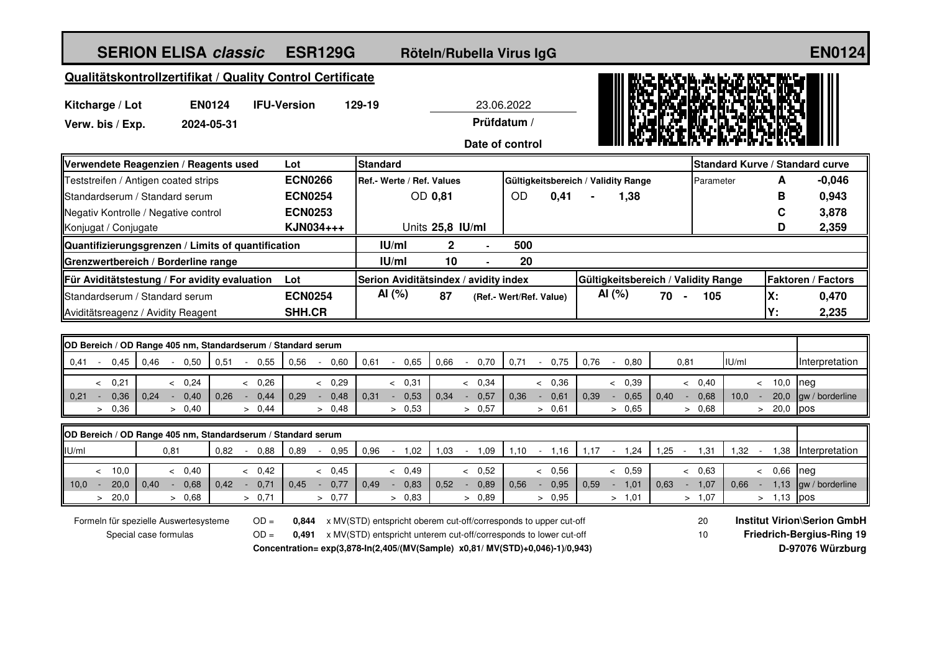| <b>SERION ELISA classic</b>                                  |                    |               |                              |                | <b>ESR129G</b> |                 |                           |      |              |                                       | Röteln/Rubella Virus IgG |                         |        |                                     |                |  | <b>EN0124</b>                    |                                     |       |              |      |                                 |  |  |  |
|--------------------------------------------------------------|--------------------|---------------|------------------------------|----------------|----------------|-----------------|---------------------------|------|--------------|---------------------------------------|--------------------------|-------------------------|--------|-------------------------------------|----------------|--|----------------------------------|-------------------------------------|-------|--------------|------|---------------------------------|--|--|--|
| Qualitätskontrollzertifikat / Quality Control Certificate    |                    |               |                              |                |                |                 |                           |      |              |                                       |                          |                         |        |                                     |                |  |                                  |                                     |       |              |      |                                 |  |  |  |
| Kitcharge / Lot                                              |                    | <b>EN0124</b> | 129-19<br><b>IFU-Version</b> |                |                |                 |                           |      |              | 23.06.2022                            |                          |                         |        |                                     |                |  |                                  |                                     |       |              |      |                                 |  |  |  |
| Verw. bis / Exp.                                             |                    | 2024-05-31    |                              |                |                |                 | Prüfdatum /               |      |              |                                       |                          |                         |        |                                     |                |  |                                  |                                     |       |              |      |                                 |  |  |  |
|                                                              |                    |               |                              |                |                |                 |                           |      |              | Date of control                       |                          |                         |        |                                     |                |  |                                  |                                     |       |              |      |                                 |  |  |  |
| Verwendete Reagenzien / Reagents used                        |                    |               |                              |                |                | <b>Standard</b> |                           |      |              |                                       |                          |                         |        |                                     |                |  |                                  |                                     |       |              |      | Standard Kurve / Standard curve |  |  |  |
| Teststreifen / Antigen coated strips                         |                    |               |                              | <b>ECN0266</b> |                |                 | Ref.- Werte / Ref. Values |      |              |                                       |                          |                         |        | Gültigkeitsbereich / Validity Range |                |  | Parameter                        |                                     |       |              | A    | $-0,046$                        |  |  |  |
| Standardserum / Standard serum                               |                    |               |                              | <b>ECN0254</b> |                | OD 0,81         |                           |      |              |                                       | <b>OD</b>                |                         | 0,41   |                                     | 1,38           |  |                                  |                                     |       |              | в    | 0,943                           |  |  |  |
| Negativ Kontrolle / Negative control                         |                    |               |                              | <b>ECN0253</b> |                |                 |                           |      |              |                                       |                          |                         |        |                                     |                |  |                                  |                                     |       |              | С    | 3,878                           |  |  |  |
| Konjugat / Conjugate                                         |                    |               |                              | KJN034+++      |                |                 | Units 25,8 IU/ml          |      |              |                                       |                          |                         |        |                                     |                |  |                                  |                                     |       |              | D    | 2,359                           |  |  |  |
| Quantifizierungsgrenzen / Limits of quantification           |                    |               |                              |                |                |                 | IU/ml                     |      | $\mathbf{2}$ |                                       | 500                      |                         |        |                                     |                |  |                                  |                                     |       |              |      |                                 |  |  |  |
| Grenzwertbereich / Borderline range                          |                    |               |                              |                |                |                 | $I$ U/ml                  |      | 10           |                                       | 20                       |                         |        |                                     |                |  |                                  |                                     |       |              |      |                                 |  |  |  |
| Für Aviditätstestung / For avidity evaluation<br>Lot         |                    |               |                              |                |                |                 |                           |      |              | Serion Aviditätsindex / avidity index |                          |                         |        |                                     |                |  |                                  | Gültigkeitsbereich / Validity Range |       |              |      | Faktoren / Factors              |  |  |  |
| Standardserum / Standard serum                               |                    |               |                              | <b>ECN0254</b> |                |                 | AI (%)                    |      | 87           |                                       |                          | (Ref.- Wert/Ref. Value) |        | AI (%)                              |                |  | 70 -<br>105                      |                                     | χ.    |              |      | 0,470                           |  |  |  |
| Aviditätsreagenz / Avidity Reagent                           |                    |               |                              | SHH.CR         |                |                 |                           |      |              |                                       |                          |                         |        |                                     |                |  |                                  |                                     |       | 2,235        |      |                                 |  |  |  |
|                                                              |                    |               |                              |                |                |                 |                           |      |              |                                       |                          |                         |        |                                     |                |  |                                  |                                     |       |              |      |                                 |  |  |  |
| OD Bereich / OD Range 405 nm, Standardserum / Standard serum |                    |               |                              |                |                |                 |                           |      |              |                                       |                          |                         |        |                                     |                |  |                                  |                                     |       |              |      |                                 |  |  |  |
| 0.41<br>0,45<br>0,46                                         | 0,50<br>$\sim$ $-$ | 0,51          | $-0,55$                      | 0.56           | 0,60           | 0.61            |                           | 0.65 | 0.66         | 0,70<br>$\sim$                        | 0,71                     | $\sim$                  | 0,75   | 0.76                                | 0,80<br>$\sim$ |  | 0,81                             |                                     | IU/ml |              |      | Interpretation                  |  |  |  |
| 0.21<br>$\prec$                                              | < 0.24             |               | & 0.26                       |                | < 0.29         |                 | & 0.31                    |      |              | & 0.34                                |                          |                         | & 0.36 |                                     | < 0.39         |  |                                  | < 0.40                              |       | < 10.0       |      | neg                             |  |  |  |
| 0,21<br>0.36<br>0.24<br>$\sim$                               | 0,40<br>$\sim$ $-$ | 0.26          | 0.44<br>$\sim$               | 0.29           | 0.48<br>$\sim$ | 0.31            | $\sim$                    | 0,53 | 0.34         | 0,57<br>$\sim$                        | 0.36                     | $\sim$                  | 0,61   | 0.39                                | 0.65<br>$\sim$ |  | 0.40                             | 0.68<br>$\sim$                      | 10.0  | $\sim$       | 20.0 | law / borderline                |  |  |  |
| 0,36<br>$\geq$                                               | > 0.40             |               | > 0,44                       |                | > 0.48         |                 | > 0,53                    |      |              | > 0,57                                |                          |                         | > 0,61 |                                     | > 0,65         |  |                                  | > 0.68                              |       | $> 20,0$ pos |      |                                 |  |  |  |
| OD Bereich / OD Range 405 nm, Standardserum / Standard serum |                    |               |                              |                |                |                 |                           |      |              |                                       |                          |                         |        |                                     |                |  |                                  |                                     |       |              |      |                                 |  |  |  |
| U/m                                                          | 0,81               | 0.82          | 0.88<br>$\sim$               | 0,89           | 0,95           | 0.96            |                           | 1,02 | 1,03         | 1,09<br>$\sim$                        | 1.10                     | $\sim$                  | 1.16   | 1.17                                | 1,24<br>$\sim$ |  | 1,25<br>$\overline{\phantom{a}}$ | 1,31                                | 1,32  | $\sim$       | 1,38 | Interpretation                  |  |  |  |
| 10.0<br>$\prec$                                              | & 0.40             |               | & 0.42                       |                | & 0.45         |                 | < 0.49                    |      |              | & 0.52                                |                          |                         | & 0.56 |                                     | & 0.59         |  |                                  | & 0.63                              |       | & 0.66       |      | neg                             |  |  |  |
| 10.0<br>20.0<br>0.40                                         | 0.68               | 0.42          | 0.71<br>$\sim$               | 0.45           | 0.77           | 0.49            |                           | 0.83 | 0.52         | 0.89                                  | 0.56                     |                         | 0.95   | 0.59                                | 1.01<br>$\sim$ |  | 0.63                             | 1.07<br>÷.                          | 0.66  |              | 1.13 | law / borderline                |  |  |  |
| 20,0<br>$\geq$                                               | > 0.68             |               | > 0.71                       |                | > 0.77         |                 | > 0.83                    |      |              | > 0.89                                |                          |                         | > 0.95 |                                     | > 1,01         |  |                                  | > 1,07                              |       | > 1,13       |      | pos                             |  |  |  |

Formeln für spezielle Auswertesysteme Special case formulas

OD = 0,844 x MV(STD) entspricht oberem cut-off/corresponds to upper cut-off **Institut Virion\Serion GmbH** OD = 0,491 x MV(STD) entspricht unterem cut-off/corresponds to lower cut-off **Friedrich-Bergius-Ring 19 Concentration= exp(3,878-In(2,405/(MV(Sample) x0,81/ MV(STD)+0,046)-1)/0,943) D-97076 Würzburg**

20 10